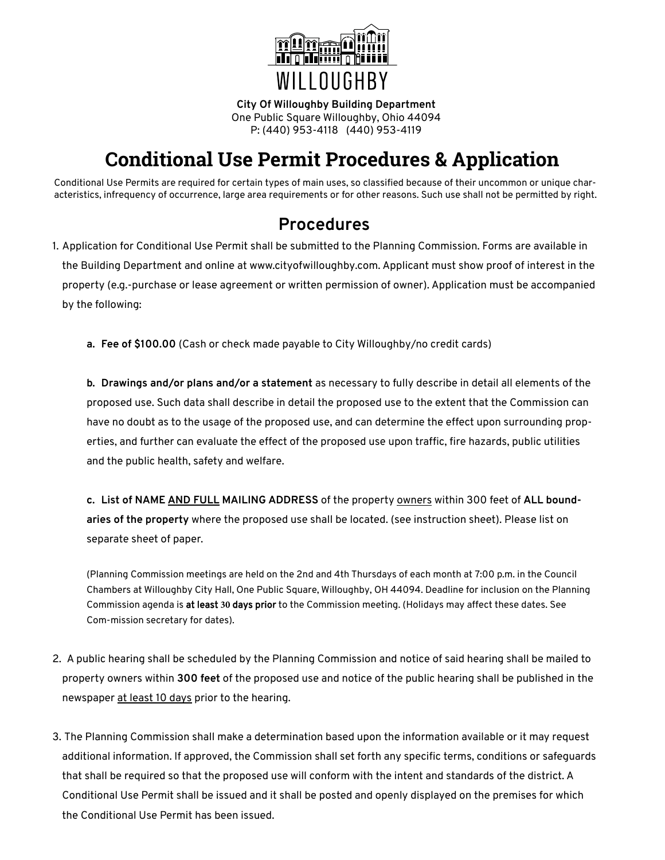

**City Of Willoughby Building Department** One Public Square Willoughby, Ohio 44094 P: (440) 953-4118 (440) 953-4119

# **Conditional Use Permit Procedures & Application**

Conditional Use Permits are required for certain types of main uses, so classified because of their uncommon or unique characteristics, infrequency of occurrence, large area requirements or for other reasons. Such use shall not be permitted by right.

### **Procedures**

- 1. Application for Conditional Use Permit shall be submitted to the Planning Commission. Forms are available in the Building Department and online at www.cityofwilloughby.com. Applicant must show proof of interest in the property (e.g.-purchase or lease agreement or written permission of owner). Application must be accompanied by the following:
	- **a. Fee of \$100.00** (Cash or check made payable to City Willoughby/no credit cards)

**b. Drawings and/or plans and/or a statement** as necessary to fully describe in detail all elements of the proposed use. Such data shall describe in detail the proposed use to the extent that the Commission can have no doubt as to the usage of the proposed use, and can determine the effect upon surrounding properties, and further can evaluate the effect of the proposed use upon traffic, fire hazards, public utilities and the public health, safety and welfare.

**c. List of NAME AND FULL MAILING ADDRESS** of the property owners within 300 feet of **ALL boundaries of the property** where the proposed use shall be located. (see instruction sheet). Please list on separate sheet of paper.

(Planning Commission meetings are held on the 2nd and 4th Thursdays of each month at 7:00 p.m. in the Council Chambers at Willoughby City Hall, One Public Square, Willoughby, OH 44094. Deadline for inclusion on the Planning Commission agenda is at least **30** days prior to the Commission meeting. (Holidays may affect these dates. See Com-mission secretary for dates).

- 2. A public hearing shall be scheduled by the Planning Commission and notice of said hearing shall be mailed to property owners within **300 feet** of the proposed use and notice of the public hearing shall be published in the newspaper at least 10 days prior to the hearing.
- 3. The Planning Commission shall make a determination based upon the information available or it may request additional information. If approved, the Commission shall set forth any specific terms, conditions or safeguards that shall be required so that the proposed use will conform with the intent and standards of the district. A Conditional Use Permit shall be issued and it shall be posted and openly displayed on the premises for which the Conditional Use Permit has been issued.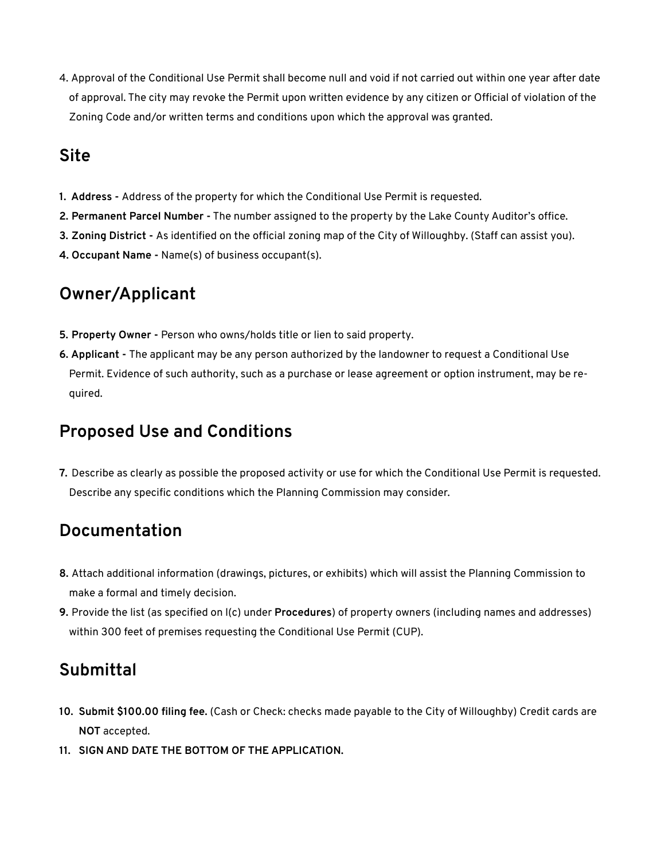4. Approval of the Conditional Use Permit shall become null and void if not carried out within one year after date of approval. The city may revoke the Permit upon written evidence by any citizen or Official of violation of the Zoning Code and/or written terms and conditions upon which the approval was granted.

# **Site**

- **1. Address** Address of the property for which the Conditional Use Permit is requested.
- **2. Permanent Parcel Number -** The number assigned to the property by the Lake County Auditor's office.
- **3. Zoning District** As identified on the official zoning map of the City of Willoughby. (Staff can assist you).
- **4. Occupant Name -** Name(s) of business occupant(s).

## **Owner/Applicant**

- **5. Property Owner** Person who owns/holds title or lien to said property.
- **6. Applicant** The applicant may be any person authorized by the landowner to request a Conditional Use Permit. Evidence of such authority, such as a purchase or lease agreement or option instrument, may be required.

## **Proposed Use and Conditions**

**7.** Describe as clearly as possible the proposed activity or use for which the Conditional Use Permit is requested. Describe any specific conditions which the Planning Commission may consider.

## **Documentation**

- **8.** Attach additional information (drawings, pictures, or exhibits) which will assist the Planning Commission to make a formal and timely decision.
- **9.** Provide the list (as specified on l(c) under **Procedures**) of property owners (including names and addresses) within 300 feet of premises requesting the Conditional Use Permit (CUP).

## **Submittal**

- **10. Submit \$100.00 filing fee.** (Cash or Check: checks made payable to the City of Willoughby) Credit cards are **NOT** accepted.
- **11. SIGN AND DATE THE BOTTOM OF THE APPLICATION.**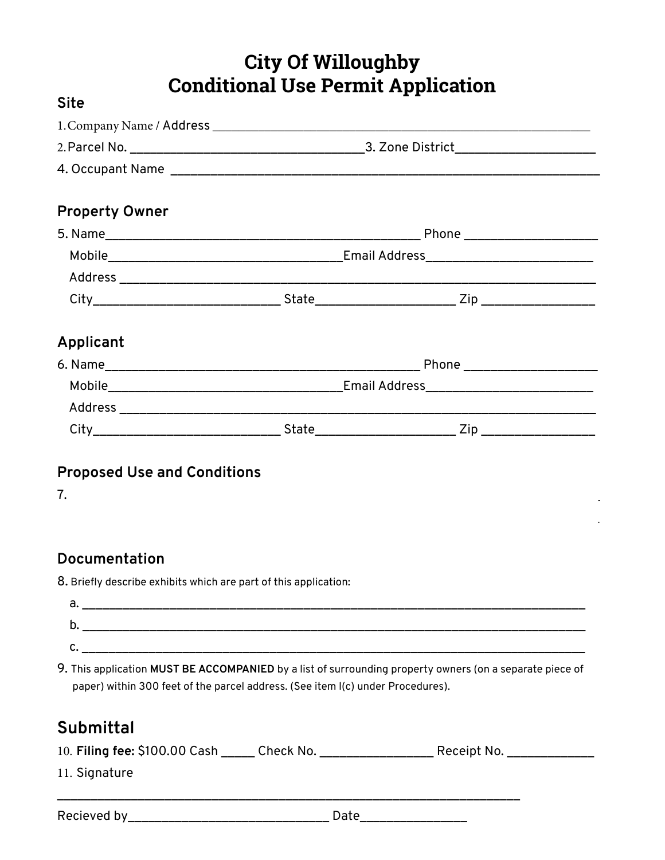|                                    | City Of Willoughby                                                              |                                                                                                          |  |
|------------------------------------|---------------------------------------------------------------------------------|----------------------------------------------------------------------------------------------------------|--|
|                                    | <b>Conditional Use Permit Application</b>                                       |                                                                                                          |  |
| <b>Site</b>                        |                                                                                 |                                                                                                          |  |
|                                    |                                                                                 |                                                                                                          |  |
|                                    |                                                                                 |                                                                                                          |  |
|                                    |                                                                                 |                                                                                                          |  |
| <b>Property Owner</b>              |                                                                                 |                                                                                                          |  |
|                                    |                                                                                 |                                                                                                          |  |
|                                    |                                                                                 |                                                                                                          |  |
|                                    |                                                                                 |                                                                                                          |  |
|                                    |                                                                                 |                                                                                                          |  |
| Applicant                          |                                                                                 |                                                                                                          |  |
|                                    |                                                                                 |                                                                                                          |  |
|                                    |                                                                                 |                                                                                                          |  |
|                                    |                                                                                 |                                                                                                          |  |
|                                    |                                                                                 |                                                                                                          |  |
| <b>Proposed Use and Conditions</b> |                                                                                 |                                                                                                          |  |
| 7.                                 |                                                                                 |                                                                                                          |  |
| <b>Documentation</b>               |                                                                                 |                                                                                                          |  |
|                                    | 8. Briefly describe exhibits which are part of this application:                |                                                                                                          |  |
|                                    |                                                                                 |                                                                                                          |  |
|                                    |                                                                                 |                                                                                                          |  |
|                                    |                                                                                 |                                                                                                          |  |
|                                    | paper) within 300 feet of the parcel address. (See item I(c) under Procedures). | 9. This application MUST BE ACCOMPANIED by a list of surrounding property owners (on a separate piece of |  |
| Submittal                          |                                                                                 |                                                                                                          |  |
|                                    |                                                                                 | 10. Filing fee: \$100.00 Cash ______ Check No. _____________________ Receipt No. _______________         |  |
| 11. Signature                      |                                                                                 |                                                                                                          |  |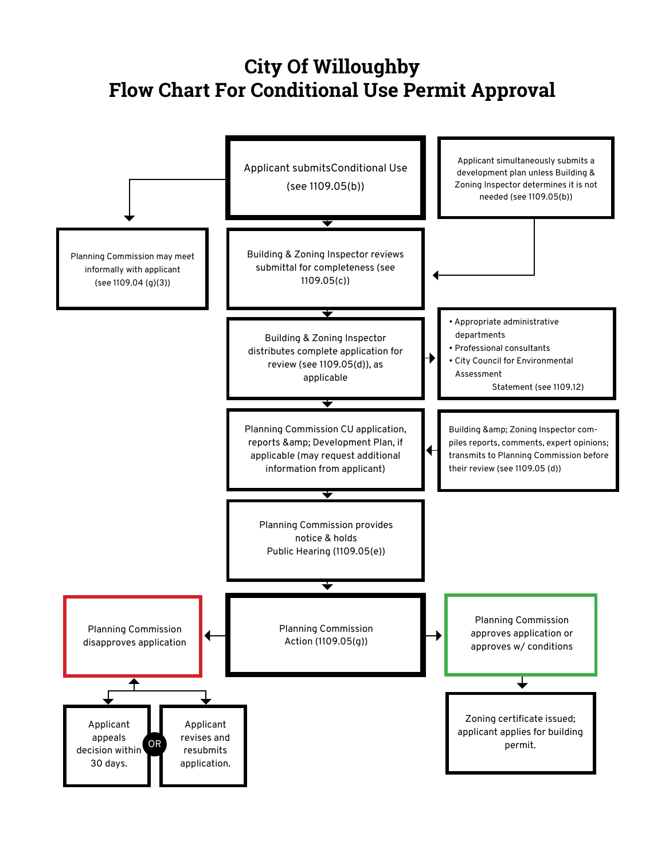# **City Of Willoughby Flow Chart For Conditional Use Permit Approval**